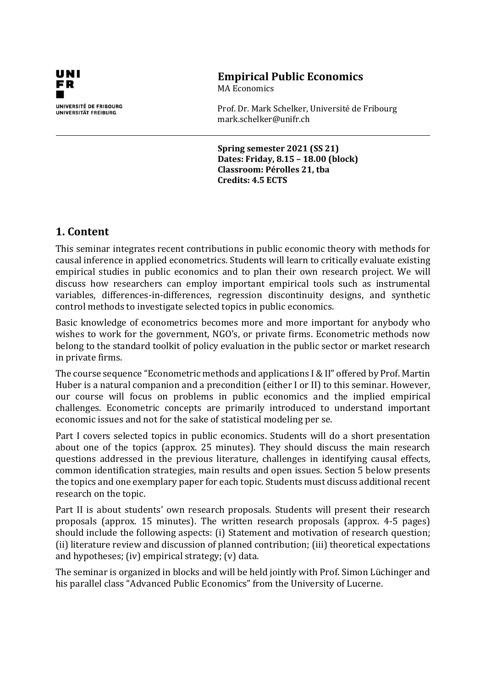

# **Empirical Public Economics**

MA Economics

Prof. Dr. Mark Schelker, Université de Fribourg mark.schelker@unifr.ch

**Spring semester 2021 (SS 21) Dates: Friday, 8.15 – 18.00 (block) Classroom: Pérolles 21, tba Credits: 4.5 ECTS**

# **1. Content**

This seminar integrates recent contributions in public economic theory with methods for causal inference in applied econometrics. Students will learn to critically evaluate existing empirical studies in public economics and to plan their own research project. We will discuss how researchers can employ important empirical tools such as instrumental variables, differences-in-differences, regression discontinuity designs, and synthetic control methods to investigate selected topics in public economics.

Basic knowledge of econometrics becomes more and more important for anybody who wishes to work for the government, NGO's, or private firms. Econometric methods now belong to the standard toolkit of policy evaluation in the public sector or market research in private firms.

The course sequence "Econometric methods and applications I & II" offered by Prof. Martin Huber is a natural companion and a precondition (either I or II) to this seminar. However, our course will focus on problems in public economics and the implied empirical challenges. Econometric concepts are primarily introduced to understand important economic issues and not for the sake of statistical modeling per se.

Part I covers selected topics in public economics. Students will do a short presentation about one of the topics (approx. 25 minutes). They should discuss the main research questions addressed in the previous literature, challenges in identifying causal effects, common identification strategies, main results and open issues. Section 5 below presents the topics and one exemplary paper for each topic. Students must discuss additional recent research on the topic.

Part II is about students' own research proposals. Students will present their research proposals (approx. 15 minutes). The written research proposals (approx. 4-5 pages) should include the following aspects: (i) Statement and motivation of research question; (ii) literature review and discussion of planned contribution; (iii) theoretical expectations and hypotheses; (iv) empirical strategy; (v) data.

The seminar is organized in blocks and will be held jointly with Prof. Simon Lüchinger and his parallel class "Advanced Public Economics" from the University of Lucerne.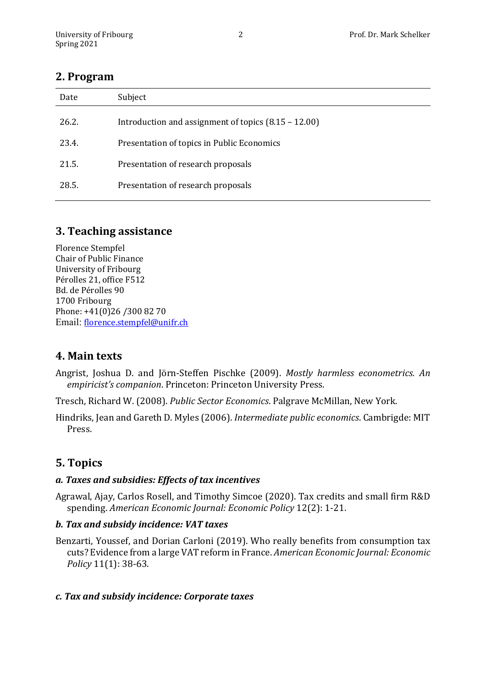# **2. Program**

| Date  | Subject                                                |
|-------|--------------------------------------------------------|
| 26.2. | Introduction and assignment of topics $(8.15 - 12.00)$ |
| 23.4. | Presentation of topics in Public Economics             |
| 21.5. | Presentation of research proposals                     |
| 28.5. | Presentation of research proposals                     |

# **3. Teaching assistance**

Florence Stempfel Chair of Public Finance University of Fribourg Pérolles 21, office F512 Bd. de Pérolles 90 1700 Fribourg Phone: +41(0)26 /300 82 70 Email: [florence.stempfel@unifr.ch](mailto:florence.stempfel@unifr.ch)

# **4. Main texts**

Angrist, Joshua D. and Jörn-Steffen Pischke (2009). *Mostly harmless econometrics. An empiricist's companion*. Princeton: Princeton University Press.

Tresch, Richard W. (2008). *Public Sector Economics*. Palgrave McMillan, New York.

Hindriks, Jean and Gareth D. Myles (2006). *Intermediate public economics*. Cambrigde: MIT Press.

# **5. Topics**

# *a. Taxes and subsidies: Effects of tax incentives*

Agrawal, Ajay, Carlos Rosell, and Timothy Simcoe (2020). Tax credits and small firm R&D spending. *American Economic Journal: Economic Policy* 12(2): 1-21.

#### *b. Tax and subsidy incidence: VAT taxes*

Benzarti, Youssef, and Dorian Carloni (2019). Who really benefits from consumption tax cuts? Evidence from a large VAT reform in France. *American Economic Journal: Economic Policy* 11(1): 38-63.

# *c. Tax and subsidy incidence: Corporate taxes*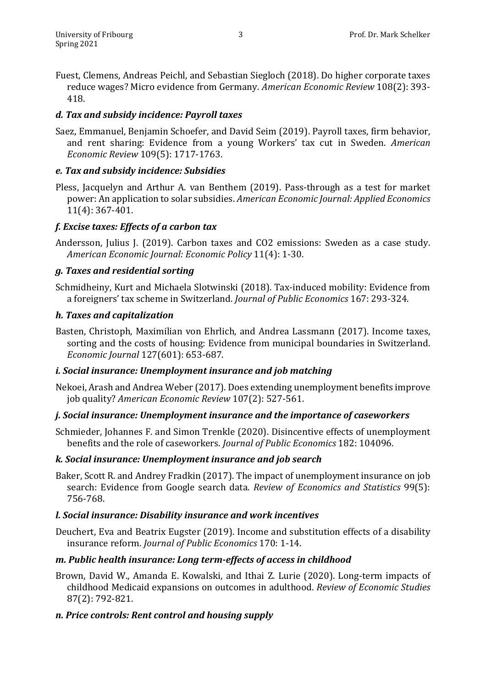Fuest, Clemens, Andreas Peichl, and Sebastian Siegloch (2018). Do higher corporate taxes reduce wages? Micro evidence from Germany. *American Economic Review* 108(2): 393- 418.

### *d. Tax and subsidy incidence: Payroll taxes*

Saez, Emmanuel, Benjamin Schoefer, and David Seim (2019). Payroll taxes, firm behavior, and rent sharing: Evidence from a young Workers' tax cut in Sweden. *American Economic Review* 109(5): 1717-1763.

#### *e. Tax and subsidy incidence: Subsidies*

Pless, Jacquelyn and Arthur A. van Benthem (2019). Pass-through as a test for market power: An application to solar subsidies. *American Economic Journal: Applied Economics* 11(4): 367-401.

# *f. Excise taxes: Effects of a carbon tax*

Andersson, Julius J. (2019). Carbon taxes and CO2 emissions: Sweden as a case study. *American Economic Journal: Economic Policy* 11(4): 1-30.

#### *g. Taxes and residential sorting*

Schmidheiny, Kurt and Michaela Slotwinski (2018). Tax-induced mobility: Evidence from a foreigners' tax scheme in Switzerland. *Journal of Public Economics* 167: 293-324.

#### *h. Taxes and capitalization*

Basten, Christoph, Maximilian von Ehrlich, and Andrea Lassmann (2017). Income taxes, sorting and the costs of housing: Evidence from municipal boundaries in Switzerland. *Economic Journal* 127(601): 653-687.

#### *i. Social insurance: Unemployment insurance and job matching*

Nekoei, Arash and Andrea Weber (2017). Does extending unemployment benefits improve job quality? *American Economic Review* 107(2): 527-561.

#### *j. Social insurance: Unemployment insurance and the importance of caseworkers*

Schmieder, Johannes F. and Simon Trenkle (2020). Disincentive effects of unemployment benefits and the role of caseworkers. *Journal of Public Economics* 182: 104096.

#### *k. Social insurance: Unemployment insurance and job search*

Baker, Scott R. and Andrey Fradkin (2017). The impact of unemployment insurance on job search: Evidence from Google search data. *Review of Economics and Statistics* 99(5): 756-768.

#### *l. Social insurance: Disability insurance and work incentives*

Deuchert, Eva and Beatrix Eugster (2019). Income and substitution effects of a disability insurance reform. *Journal of Public Economics* 170: 1-14.

# *m. Public health insurance: Long term-effects of access in childhood*

Brown, David W., Amanda E. Kowalski, and Ithai Z. Lurie (2020). Long-term impacts of childhood Medicaid expansions on outcomes in adulthood. *Review of Economic Studies*  87(2): 792-821.

# *n. Price controls: Rent control and housing supply*